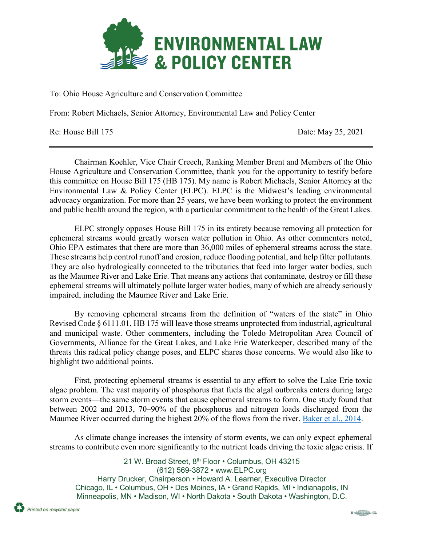

To: Ohio House Agriculture and Conservation Committee

From: Robert Michaels, Senior Attorney, Environmental Law and Policy Center

Re: House Bill 175 Date: May 25, 2021

Chairman Koehler, Vice Chair Creech, Ranking Member Brent and Members of the Ohio House Agriculture and Conservation Committee, thank you for the opportunity to testify before this committee on House Bill 175 (HB 175). My name is Robert Michaels, Senior Attorney at the Environmental Law & Policy Center (ELPC). ELPC is the Midwest's leading environmental advocacy organization. For more than 25 years, we have been working to protect the environment and public health around the region, with a particular commitment to the health of the Great Lakes.

ELPC strongly opposes House Bill 175 in its entirety because removing all protection for ephemeral streams would greatly worsen water pollution in Ohio. As other commenters noted, Ohio EPA estimates that there are more than 36,000 miles of ephemeral streams across the state. These streams help control runoff and erosion, reduce flooding potential, and help filter pollutants. They are also hydrologically connected to the tributaries that feed into larger water bodies, such as the Maumee River and Lake Erie. That means any actions that contaminate, destroy or fill these ephemeral streams will ultimately pollute larger water bodies, many of which are already seriously impaired, including the Maumee River and Lake Erie.

By removing ephemeral streams from the definition of "waters of the state" in Ohio Revised Code § 6111.01, HB 175 will leave those streams unprotected from industrial, agricultural and municipal waste. Other commenters, including the Toledo Metropolitan Area Council of Governments, Alliance for the Great Lakes, and Lake Erie Waterkeeper, described many of the threats this radical policy change poses, and ELPC shares those concerns. We would also like to highlight two additional points.

First, protecting ephemeral streams is essential to any effort to solve the Lake Erie toxic algae problem. The vast majority of phosphorus that fuels the algal outbreaks enters during large storm events—the same storm events that cause ephemeral streams to form. One study found that between 2002 and 2013, 70–90% of the phosphorus and nitrogen loads discharged from the Maumee River occurred during the highest 20% of the flows from the river. [Baker et al., 2014.](https://www.researchgate.net/publication/262806602_Phosphorus_loading_to_Lake_Erie_from_the_Maumee_Sandusky_and_Cuyahoga_Rivers_The_importance_of_bioavailability)

As climate change increases the intensity of storm events, we can only expect ephemeral streams to contribute even more significantly to the nutrient loads driving the toxic algae crisis. If

21 W. Broad Street, 8<sup>th</sup> Floor • Columbus, OH 43215 (612) 569-3872 • www.ELPC.org Harry Drucker, Chairperson • Howard A. Learner, Executive Director Chicago, IL • Columbus, OH • Des Moines, IA • Grand Rapids, MI • Indianapolis, IN Minneapolis, MN • Madison, WI • North Dakota • South Dakota • Washington, D.C.